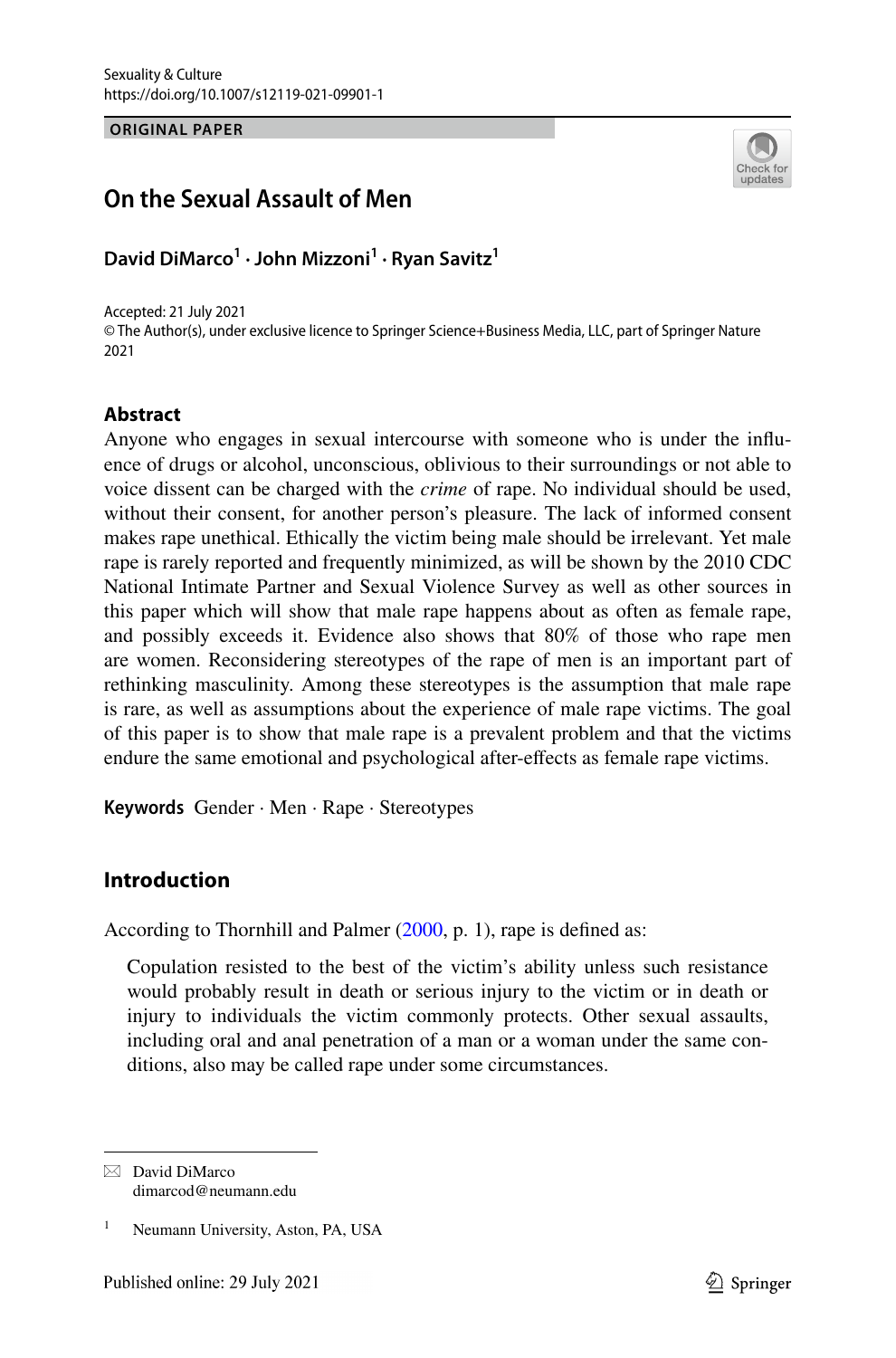**ORIGINAL PAPER**

# Check fo update

## **On the Sexual Assault of Men**

**David DiMarco<sup>1</sup> · John Mizzoni<sup>1</sup> · Ryan Savitz<sup>1</sup>**

Accepted: 21 July 2021 © The Author(s), under exclusive licence to Springer Science+Business Media, LLC, part of Springer Nature 2021

### **Abstract**

Anyone who engages in sexual intercourse with someone who is under the influence of drugs or alcohol, unconscious, oblivious to their surroundings or not able to voice dissent can be charged with the *crime* of rape. No individual should be used, without their consent, for another person's pleasure. The lack of informed consent makes rape unethical. Ethically the victim being male should be irrelevant. Yet male rape is rarely reported and frequently minimized, as will be shown by the 2010 CDC National Intimate Partner and Sexual Violence Survey as well as other sources in this paper which will show that male rape happens about as often as female rape, and possibly exceeds it. Evidence also shows that 80% of those who rape men are women. Reconsidering stereotypes of the rape of men is an important part of rethinking masculinity. Among these stereotypes is the assumption that male rape is rare, as well as assumptions about the experience of male rape victims. The goal of this paper is to show that male rape is a prevalent problem and that the victims endure the same emotional and psychological after-effects as female rape victims.

**Keywords** Gender · Men · Rape · Stereotypes

## **Introduction**

According to Thornhill and Palmer [\(2000](#page-8-0), p. 1), rape is defined as:

Copulation resisted to the best of the victim's ability unless such resistance would probably result in death or serious injury to the victim or in death or injury to individuals the victim commonly protects. Other sexual assaults, including oral and anal penetration of a man or a woman under the same conditions, also may be called rape under some circumstances.

 $\boxtimes$  David DiMarco dimarcod@neumann.edu

<sup>1</sup> Neumann University, Aston, PA, USA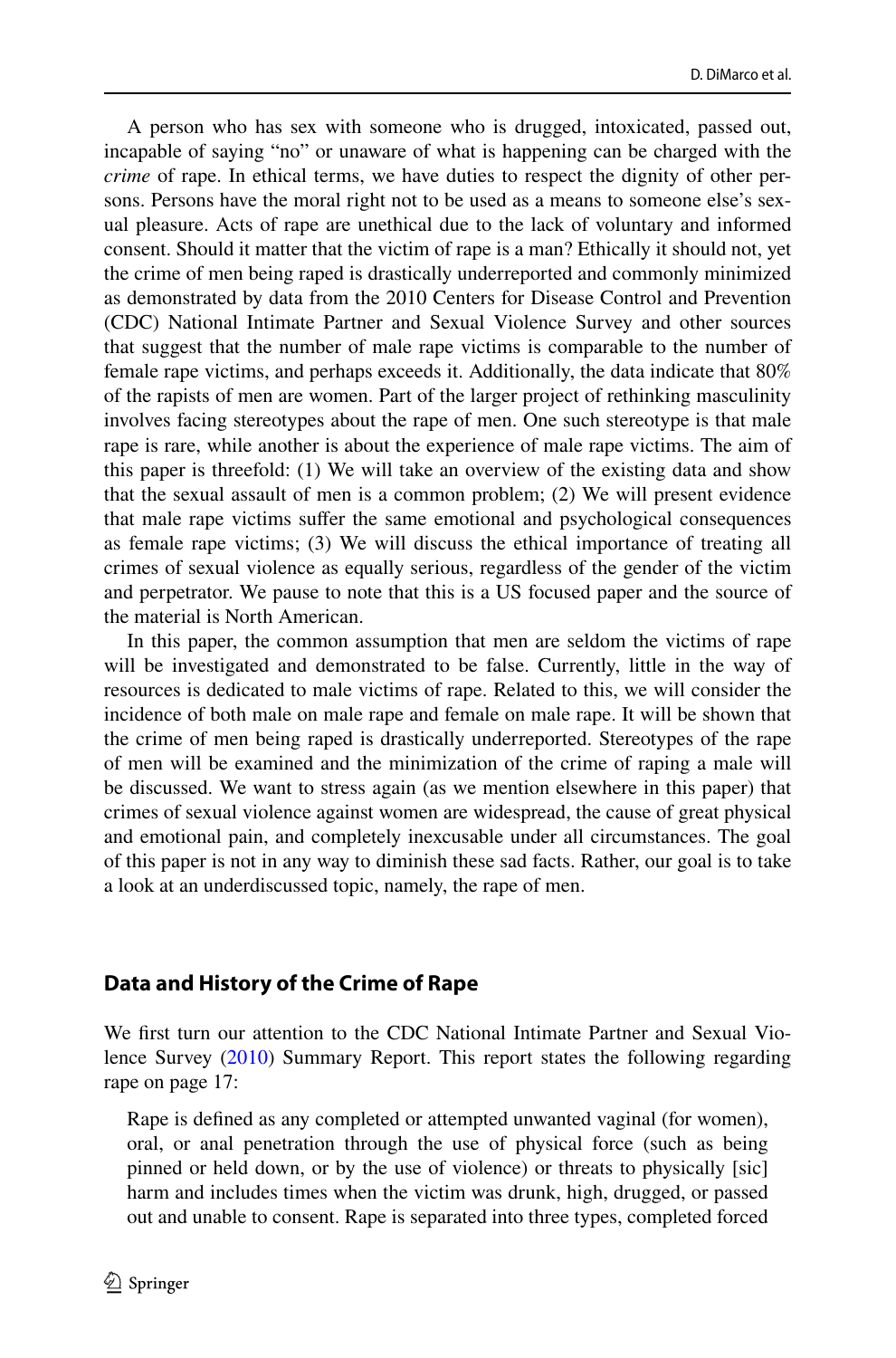A person who has sex with someone who is drugged, intoxicated, passed out, incapable of saying "no" or unaware of what is happening can be charged with the *crime* of rape. In ethical terms, we have duties to respect the dignity of other persons. Persons have the moral right not to be used as a means to someone else's sexual pleasure. Acts of rape are unethical due to the lack of voluntary and informed consent. Should it matter that the victim of rape is a man? Ethically it should not, yet the crime of men being raped is drastically underreported and commonly minimized as demonstrated by data from the 2010 Centers for Disease Control and Prevention (CDC) National Intimate Partner and Sexual Violence Survey and other sources that suggest that the number of male rape victims is comparable to the number of female rape victims, and perhaps exceeds it. Additionally, the data indicate that 80% of the rapists of men are women. Part of the larger project of rethinking masculinity involves facing stereotypes about the rape of men. One such stereotype is that male rape is rare, while another is about the experience of male rape victims. The aim of this paper is threefold: (1) We will take an overview of the existing data and show that the sexual assault of men is a common problem; (2) We will present evidence that male rape victims suffer the same emotional and psychological consequences as female rape victims; (3) We will discuss the ethical importance of treating all crimes of sexual violence as equally serious, regardless of the gender of the victim and perpetrator. We pause to note that this is a US focused paper and the source of the material is North American.

In this paper, the common assumption that men are seldom the victims of rape will be investigated and demonstrated to be false. Currently, little in the way of resources is dedicated to male victims of rape. Related to this, we will consider the incidence of both male on male rape and female on male rape. It will be shown that the crime of men being raped is drastically underreported. Stereotypes of the rape of men will be examined and the minimization of the crime of raping a male will be discussed. We want to stress again (as we mention elsewhere in this paper) that crimes of sexual violence against women are widespread, the cause of great physical and emotional pain, and completely inexcusable under all circumstances. The goal of this paper is not in any way to diminish these sad facts. Rather, our goal is to take a look at an underdiscussed topic, namely, the rape of men.

#### **Data and History of the Crime of Rape**

We first turn our attention to the CDC National Intimate Partner and Sexual Violence Survey [\(2010](#page-8-1)) Summary Report. This report states the following regarding rape on page 17:

Rape is defined as any completed or attempted unwanted vaginal (for women), oral, or anal penetration through the use of physical force (such as being pinned or held down, or by the use of violence) or threats to physically [sic] harm and includes times when the victim was drunk, high, drugged, or passed out and unable to consent. Rape is separated into three types, completed forced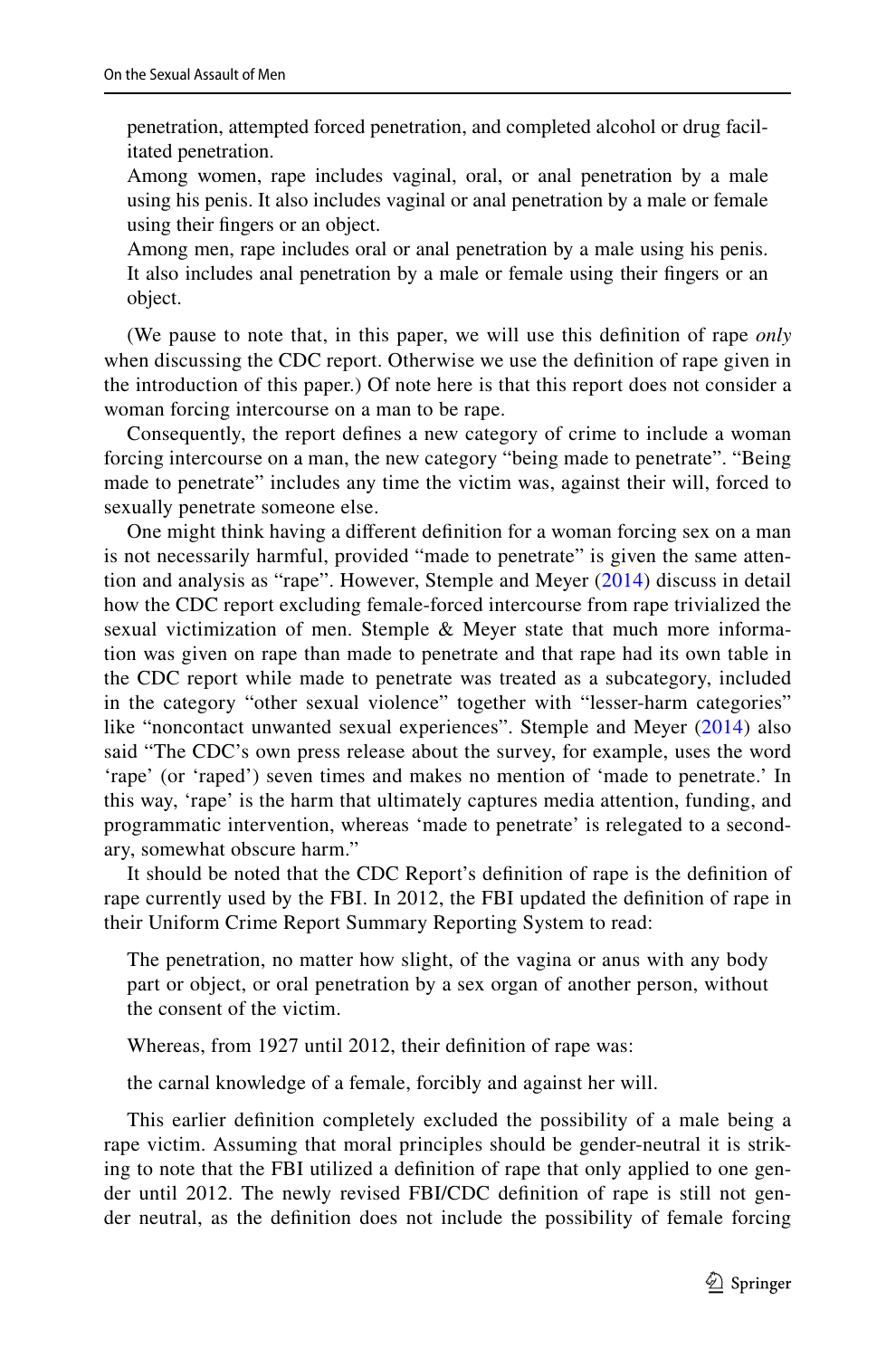penetration, attempted forced penetration, and completed alcohol or drug facilitated penetration.

Among women, rape includes vaginal, oral, or anal penetration by a male using his penis. It also includes vaginal or anal penetration by a male or female using their fingers or an object.

Among men, rape includes oral or anal penetration by a male using his penis. It also includes anal penetration by a male or female using their fingers or an object.

(We pause to note that, in this paper, we will use this definition of rape *only* when discussing the CDC report. Otherwise we use the definition of rape given in the introduction of this paper.) Of note here is that this report does not consider a woman forcing intercourse on a man to be rape.

Consequently, the report defines a new category of crime to include a woman forcing intercourse on a man, the new category "being made to penetrate". "Being made to penetrate" includes any time the victim was, against their will, forced to sexually penetrate someone else.

One might think having a different definition for a woman forcing sex on a man is not necessarily harmful, provided "made to penetrate" is given the same attention and analysis as "rape". However, Stemple and Meyer [\(2014\)](#page-8-2) discuss in detail how the CDC report excluding female-forced intercourse from rape trivialized the sexual victimization of men. Stemple & Meyer state that much more information was given on rape than made to penetrate and that rape had its own table in the CDC report while made to penetrate was treated as a subcategory, included in the category "other sexual violence" together with "lesser-harm categories" like "noncontact unwanted sexual experiences". Stemple and Meyer [\(2014\)](#page-8-2) also said "The CDC's own press release about the survey, for example, uses the word 'rape' (or 'raped') seven times and makes no mention of 'made to penetrate.' In this way, 'rape' is the harm that ultimately captures media attention, funding, and programmatic intervention, whereas 'made to penetrate' is relegated to a secondary, somewhat obscure harm."

It should be noted that the CDC Report's definition of rape is the definition of rape currently used by the FBI. In 2012, the FBI updated the definition of rape in their Uniform Crime Report Summary Reporting System to read:

The penetration, no matter how slight, of the vagina or anus with any body part or object, or oral penetration by a sex organ of another person, without the consent of the victim.

Whereas, from 1927 until 2012, their definition of rape was:

the carnal knowledge of a female, forcibly and against her will.

This earlier definition completely excluded the possibility of a male being a rape victim. Assuming that moral principles should be gender-neutral it is striking to note that the FBI utilized a definition of rape that only applied to one gender until 2012. The newly revised FBI/CDC definition of rape is still not gender neutral, as the definition does not include the possibility of female forcing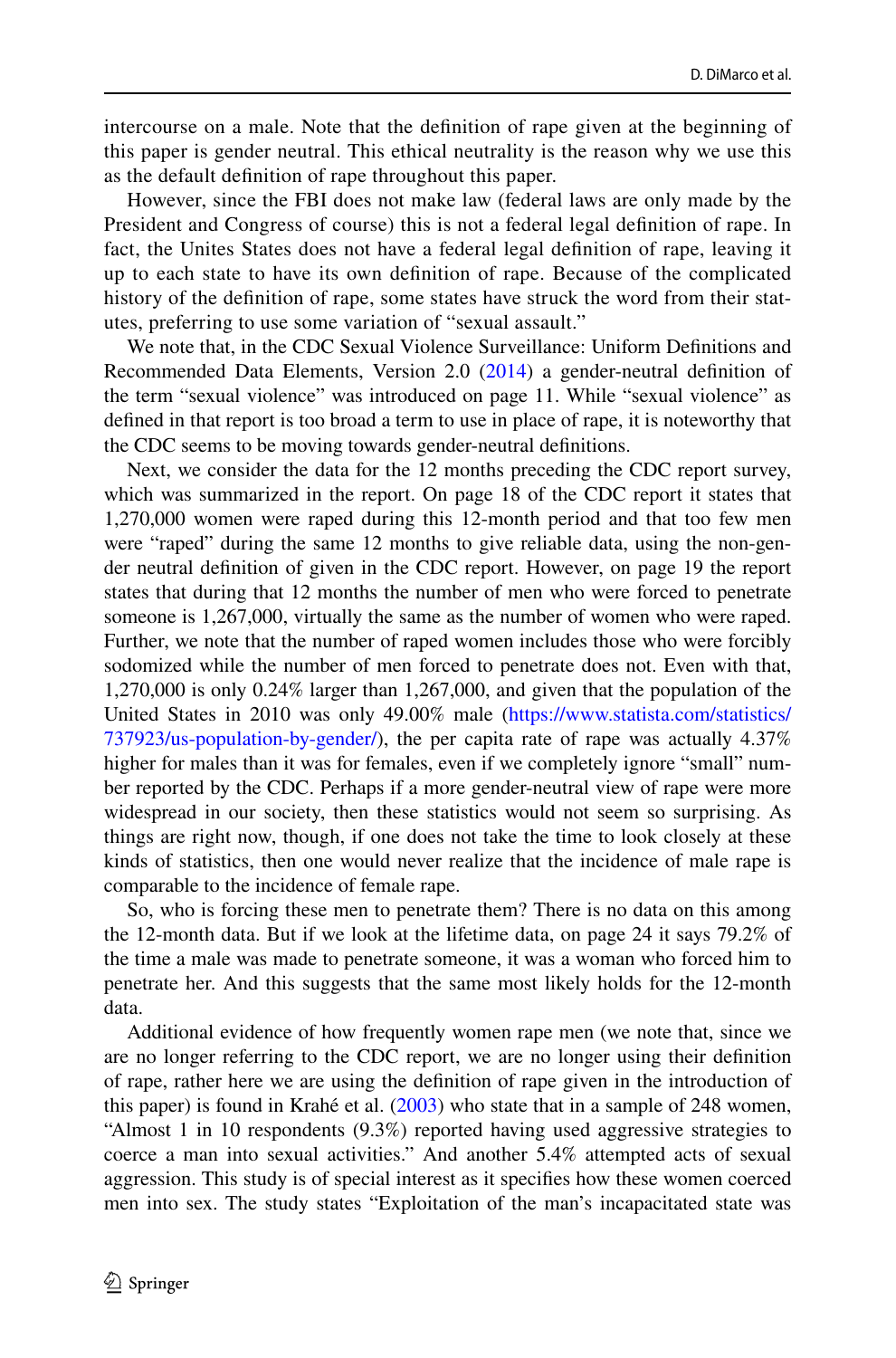intercourse on a male. Note that the definition of rape given at the beginning of this paper is gender neutral. This ethical neutrality is the reason why we use this as the default definition of rape throughout this paper.

However, since the FBI does not make law (federal laws are only made by the President and Congress of course) this is not a federal legal definition of rape. In fact, the Unites States does not have a federal legal definition of rape, leaving it up to each state to have its own definition of rape. Because of the complicated history of the definition of rape, some states have struck the word from their statutes, preferring to use some variation of "sexual assault."

We note that, in the CDC Sexual Violence Surveillance: Uniform Definitions and Recommended Data Elements, Version 2.0 [\(2014](#page-8-3)) a gender-neutral definition of the term "sexual violence" was introduced on page 11. While "sexual violence" as defined in that report is too broad a term to use in place of rape, it is noteworthy that the CDC seems to be moving towards gender-neutral definitions.

Next, we consider the data for the 12 months preceding the CDC report survey, which was summarized in the report. On page 18 of the CDC report it states that 1,270,000 women were raped during this 12-month period and that too few men were "raped" during the same 12 months to give reliable data, using the non-gender neutral definition of given in the CDC report. However, on page 19 the report states that during that 12 months the number of men who were forced to penetrate someone is 1,267,000, virtually the same as the number of women who were raped. Further, we note that the number of raped women includes those who were forcibly sodomized while the number of men forced to penetrate does not. Even with that, 1,270,000 is only 0.24% larger than 1,267,000, and given that the population of the United States in 2010 was only 49.00% male (https://www.statista.com/statistics/  $737923$ /us-population-by-gender/), the per capita rate of rape was actually  $4.37\%$ higher for males than it was for females, even if we completely ignore "small" number reported by the CDC. Perhaps if a more gender-neutral view of rape were more widespread in our society, then these statistics would not seem so surprising. As things are right now, though, if one does not take the time to look closely at these kinds of statistics, then one would never realize that the incidence of male rape is comparable to the incidence of female rape.

So, who is forcing these men to penetrate them? There is no data on this among the 12-month data. But if we look at the lifetime data, on page 24 it says 79.2% of the time a male was made to penetrate someone, it was a woman who forced him to penetrate her. And this suggests that the same most likely holds for the 12-month data.

Additional evidence of how frequently women rape men (we note that, since we are no longer referring to the CDC report, we are no longer using their definition of rape, rather here we are using the definition of rape given in the introduction of this paper) is found in Krahé et al. ([2003\)](#page-8-4) who state that in a sample of 248 women, "Almost 1 in 10 respondents (9.3%) reported having used aggressive strategies to coerce a man into sexual activities." And another 5.4% attempted acts of sexual aggression. This study is of special interest as it specifies how these women coerced men into sex. The study states "Exploitation of the man's incapacitated state was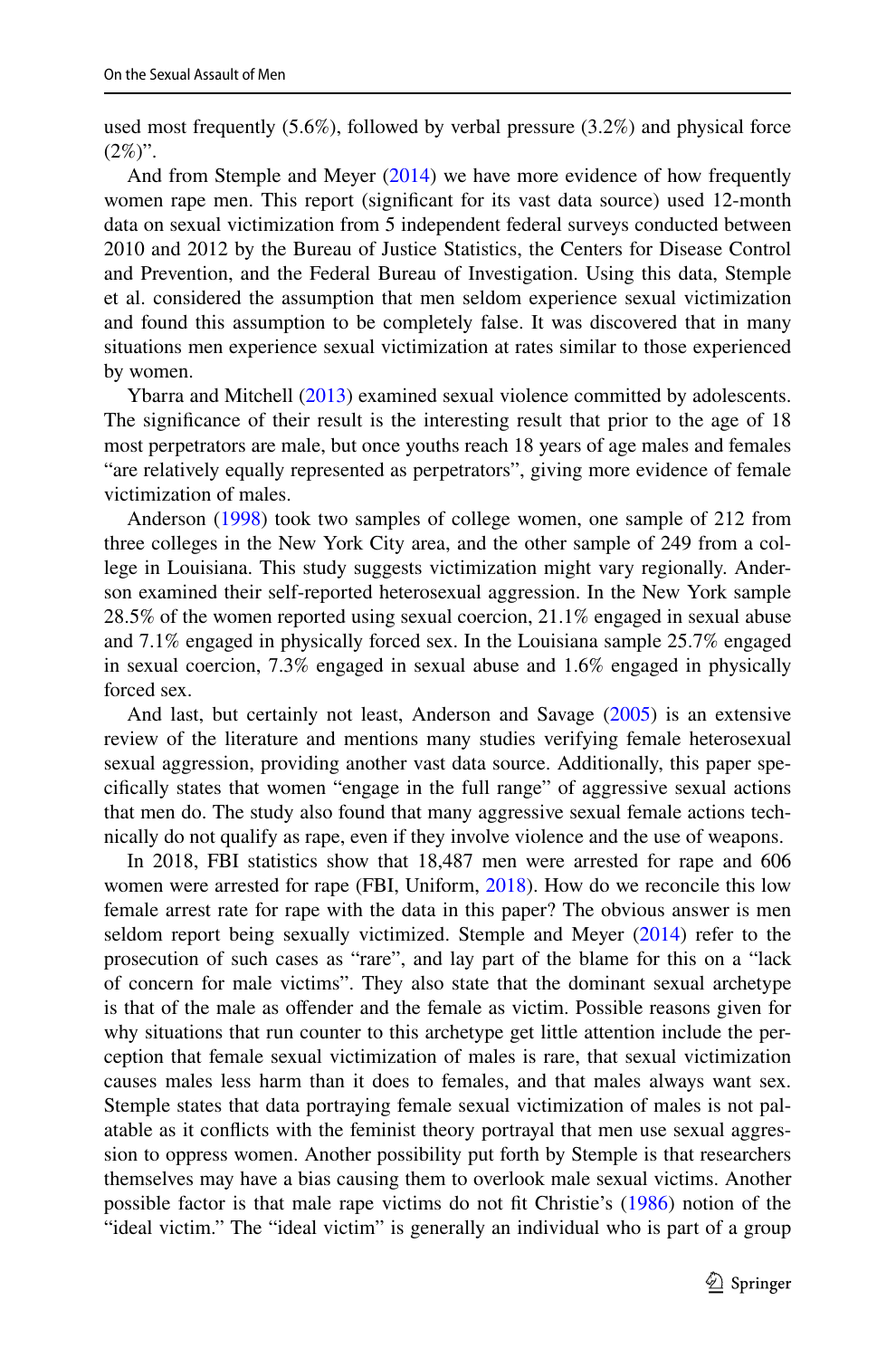used most frequently (5.6%), followed by verbal pressure (3.2%) and physical force  $(2\%)$ ".

And from Stemple and Meyer ([2014\)](#page-8-2) we have more evidence of how frequently women rape men. This report (significant for its vast data source) used 12-month data on sexual victimization from 5 independent federal surveys conducted between 2010 and 2012 by the Bureau of Justice Statistics, the Centers for Disease Control and Prevention, and the Federal Bureau of Investigation. Using this data, Stemple et al. considered the assumption that men seldom experience sexual victimization and found this assumption to be completely false. It was discovered that in many situations men experience sexual victimization at rates similar to those experienced by women.

Ybarra and Mitchell ([2013\)](#page-8-5) examined sexual violence committed by adolescents. The significance of their result is the interesting result that prior to the age of 18 most perpetrators are male, but once youths reach 18 years of age males and females "are relatively equally represented as perpetrators", giving more evidence of female victimization of males.

Anderson [\(1998](#page-7-0)) took two samples of college women, one sample of 212 from three colleges in the New York City area, and the other sample of 249 from a college in Louisiana. This study suggests victimization might vary regionally. Anderson examined their self-reported heterosexual aggression. In the New York sample 28.5% of the women reported using sexual coercion, 21.1% engaged in sexual abuse and 7.1% engaged in physically forced sex. In the Louisiana sample 25.7% engaged in sexual coercion, 7.3% engaged in sexual abuse and 1.6% engaged in physically forced sex.

And last, but certainly not least, Anderson and Savage [\(2005](#page-8-6)) is an extensive review of the literature and mentions many studies verifying female heterosexual sexual aggression, providing another vast data source. Additionally, this paper specifically states that women "engage in the full range" of aggressive sexual actions that men do. The study also found that many aggressive sexual female actions technically do not qualify as rape, even if they involve violence and the use of weapons.

In 2018, FBI statistics show that 18,487 men were arrested for rape and 606 women were arrested for rape (FBI, Uniform, [2018](#page-8-7)). How do we reconcile this low female arrest rate for rape with the data in this paper? The obvious answer is men seldom report being sexually victimized. Stemple and Meyer ([2014\)](#page-8-2) refer to the prosecution of such cases as "rare", and lay part of the blame for this on a "lack of concern for male victims". They also state that the dominant sexual archetype is that of the male as offender and the female as victim. Possible reasons given for why situations that run counter to this archetype get little attention include the perception that female sexual victimization of males is rare, that sexual victimization causes males less harm than it does to females, and that males always want sex. Stemple states that data portraying female sexual victimization of males is not palatable as it conflicts with the feminist theory portrayal that men use sexual aggression to oppress women. Another possibility put forth by Stemple is that researchers themselves may have a bias causing them to overlook male sexual victims. Another possible factor is that male rape victims do not fit Christie's ([1986\)](#page-8-8) notion of the "ideal victim." The "ideal victim" is generally an individual who is part of a group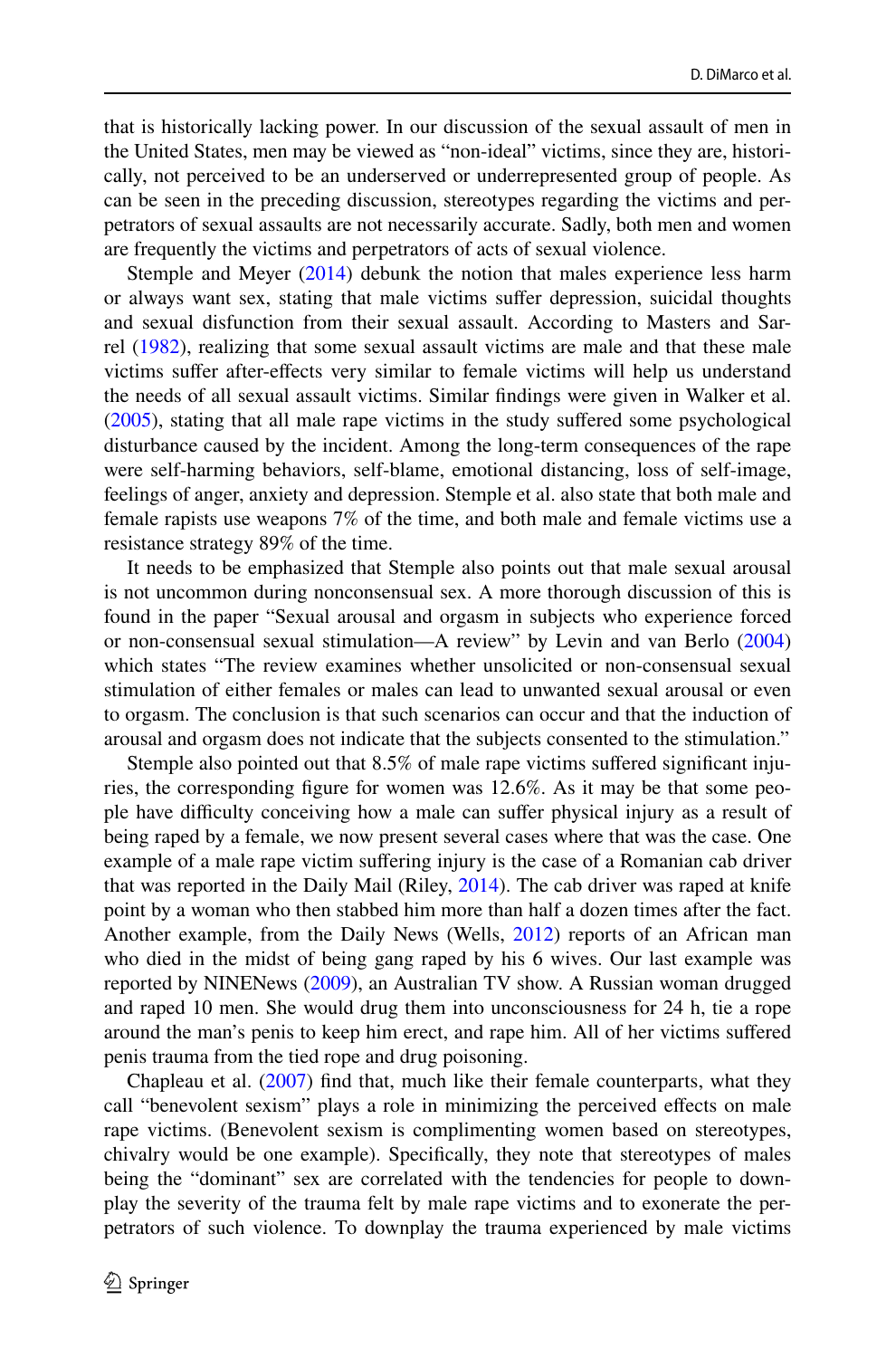that is historically lacking power. In our discussion of the sexual assault of men in the United States, men may be viewed as "non-ideal" victims, since they are, historically, not perceived to be an underserved or underrepresented group of people. As can be seen in the preceding discussion, stereotypes regarding the victims and perpetrators of sexual assaults are not necessarily accurate. Sadly, both men and women are frequently the victims and perpetrators of acts of sexual violence.

Stemple and Meyer ([2014\)](#page-8-2) debunk the notion that males experience less harm or always want sex, stating that male victims suffer depression, suicidal thoughts and sexual disfunction from their sexual assault. According to Masters and Sarrel [\(1982](#page-8-9)), realizing that some sexual assault victims are male and that these male victims suffer after-effects very similar to female victims will help us understand the needs of all sexual assault victims. Similar findings were given in Walker et al. [\(2005](#page-8-10)), stating that all male rape victims in the study suffered some psychological disturbance caused by the incident. Among the long-term consequences of the rape were self-harming behaviors, self-blame, emotional distancing, loss of self-image, feelings of anger, anxiety and depression. Stemple et al. also state that both male and female rapists use weapons 7% of the time, and both male and female victims use a resistance strategy 89% of the time.

It needs to be emphasized that Stemple also points out that male sexual arousal is not uncommon during nonconsensual sex. A more thorough discussion of this is found in the paper "Sexual arousal and orgasm in subjects who experience forced or non-consensual sexual stimulation—A review" by Levin and van Berlo [\(2004](#page-8-11)) which states "The review examines whether unsolicited or non-consensual sexual stimulation of either females or males can lead to unwanted sexual arousal or even to orgasm. The conclusion is that such scenarios can occur and that the induction of arousal and orgasm does not indicate that the subjects consented to the stimulation."

Stemple also pointed out that 8.5% of male rape victims suffered significant injuries, the corresponding figure for women was 12.6%. As it may be that some people have difficulty conceiving how a male can suffer physical injury as a result of being raped by a female, we now present several cases where that was the case. One example of a male rape victim suffering injury is the case of a Romanian cab driver that was reported in the Daily Mail (Riley, [2014\)](#page-8-12). The cab driver was raped at knife point by a woman who then stabbed him more than half a dozen times after the fact. Another example, from the Daily News (Wells, [2012\)](#page-8-13) reports of an African man who died in the midst of being gang raped by his 6 wives. Our last example was reported by NINENews [\(2009](#page-8-14)), an Australian TV show. A Russian woman drugged and raped 10 men. She would drug them into unconsciousness for 24 h, tie a rope around the man's penis to keep him erect, and rape him. All of her victims suffered penis trauma from the tied rope and drug poisoning.

Chapleau et al. [\(2007](#page-8-15)) find that, much like their female counterparts, what they call "benevolent sexism" plays a role in minimizing the perceived effects on male rape victims. (Benevolent sexism is complimenting women based on stereotypes, chivalry would be one example). Specifically, they note that stereotypes of males being the "dominant" sex are correlated with the tendencies for people to downplay the severity of the trauma felt by male rape victims and to exonerate the perpetrators of such violence. To downplay the trauma experienced by male victims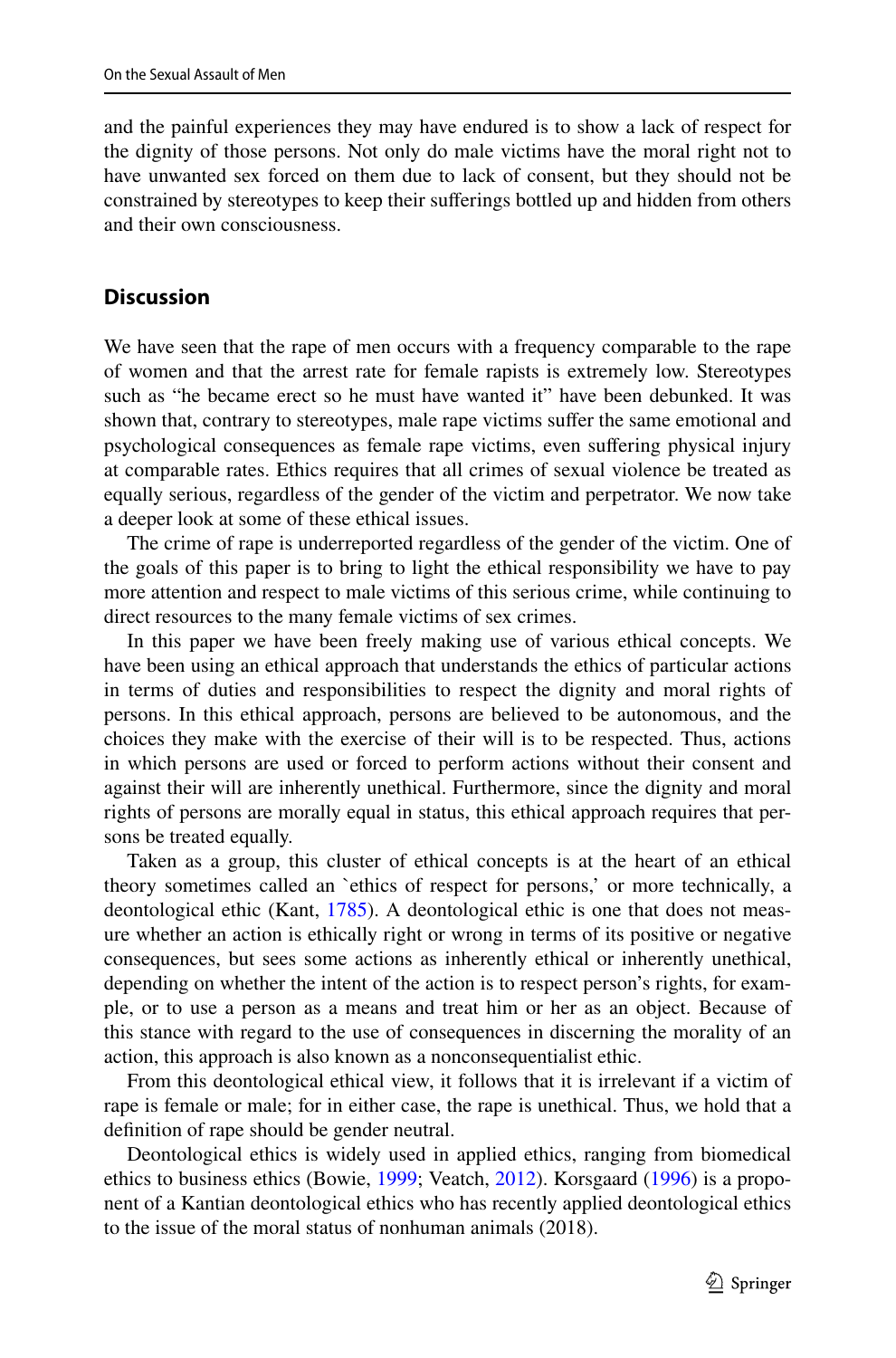and the painful experiences they may have endured is to show a lack of respect for the dignity of those persons. Not only do male victims have the moral right not to have unwanted sex forced on them due to lack of consent, but they should not be constrained by stereotypes to keep their sufferings bottled up and hidden from others and their own consciousness.

### **Discussion**

We have seen that the rape of men occurs with a frequency comparable to the rape of women and that the arrest rate for female rapists is extremely low. Stereotypes such as "he became erect so he must have wanted it" have been debunked. It was shown that, contrary to stereotypes, male rape victims suffer the same emotional and psychological consequences as female rape victims, even suffering physical injury at comparable rates. Ethics requires that all crimes of sexual violence be treated as equally serious, regardless of the gender of the victim and perpetrator. We now take a deeper look at some of these ethical issues.

The crime of rape is underreported regardless of the gender of the victim. One of the goals of this paper is to bring to light the ethical responsibility we have to pay more attention and respect to male victims of this serious crime, while continuing to direct resources to the many female victims of sex crimes.

In this paper we have been freely making use of various ethical concepts. We have been using an ethical approach that understands the ethics of particular actions in terms of duties and responsibilities to respect the dignity and moral rights of persons. In this ethical approach, persons are believed to be autonomous, and the choices they make with the exercise of their will is to be respected. Thus, actions in which persons are used or forced to perform actions without their consent and against their will are inherently unethical. Furthermore, since the dignity and moral rights of persons are morally equal in status, this ethical approach requires that persons be treated equally.

Taken as a group, this cluster of ethical concepts is at the heart of an ethical theory sometimes called an `ethics of respect for persons,' or more technically, a deontological ethic (Kant, [1785](#page-8-16)). A deontological ethic is one that does not measure whether an action is ethically right or wrong in terms of its positive or negative consequences, but sees some actions as inherently ethical or inherently unethical, depending on whether the intent of the action is to respect person's rights, for example, or to use a person as a means and treat him or her as an object. Because of this stance with regard to the use of consequences in discerning the morality of an action, this approach is also known as a nonconsequentialist ethic.

From this deontological ethical view, it follows that it is irrelevant if a victim of rape is female or male; for in either case, the rape is unethical. Thus, we hold that a definition of rape should be gender neutral.

Deontological ethics is widely used in applied ethics, ranging from biomedical ethics to business ethics (Bowie, [1999;](#page-8-17) Veatch, [2012](#page-8-18)). Korsgaard [\(1996](#page-8-19)) is a proponent of a Kantian deontological ethics who has recently applied deontological ethics to the issue of the moral status of nonhuman animals (2018).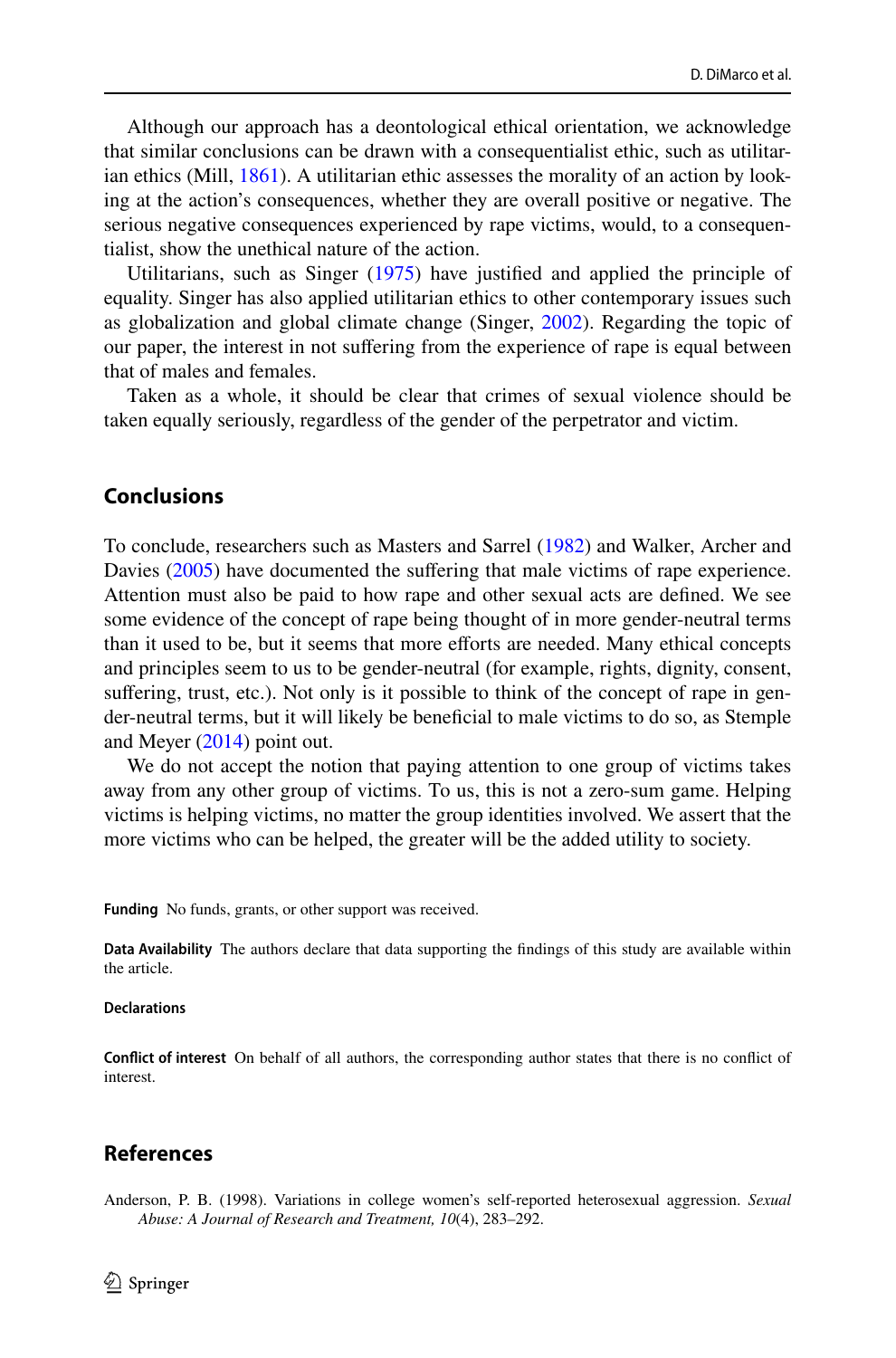Although our approach has a deontological ethical orientation, we acknowledge that similar conclusions can be drawn with a consequentialist ethic, such as utilitarian ethics (Mill, [1861](#page-8-20)). A utilitarian ethic assesses the morality of an action by looking at the action's consequences, whether they are overall positive or negative. The serious negative consequences experienced by rape victims, would, to a consequentialist, show the unethical nature of the action.

Utilitarians, such as Singer ([1975\)](#page-8-21) have justified and applied the principle of equality. Singer has also applied utilitarian ethics to other contemporary issues such as globalization and global climate change (Singer, [2002\)](#page-8-22). Regarding the topic of our paper, the interest in not suffering from the experience of rape is equal between that of males and females.

Taken as a whole, it should be clear that crimes of sexual violence should be taken equally seriously, regardless of the gender of the perpetrator and victim.

#### **Conclusions**

To conclude, researchers such as Masters and Sarrel ([1982\)](#page-8-9) and Walker, Archer and Davies ([2005\)](#page-8-10) have documented the suffering that male victims of rape experience. Attention must also be paid to how rape and other sexual acts are defined. We see some evidence of the concept of rape being thought of in more gender-neutral terms than it used to be, but it seems that more efforts are needed. Many ethical concepts and principles seem to us to be gender-neutral (for example, rights, dignity, consent, suffering, trust, etc.). Not only is it possible to think of the concept of rape in gender-neutral terms, but it will likely be beneficial to male victims to do so, as Stemple and Meyer [\(2014](#page-8-2)) point out.

We do not accept the notion that paying attention to one group of victims takes away from any other group of victims. To us, this is not a zero-sum game. Helping victims is helping victims, no matter the group identities involved. We assert that the more victims who can be helped, the greater will be the added utility to society.

**Funding** No funds, grants, or other support was received.

**Data Availability** The authors declare that data supporting the findings of this study are available within the article.

#### **Declarations**

**Conflict of interest** On behalf of all authors, the corresponding author states that there is no conflict of interest.

#### **References**

<span id="page-7-0"></span>Anderson, P. B. (1998). Variations in college women's self-reported heterosexual aggression. *Sexual Abuse: A Journal of Research and Treatment, 10*(4), 283–292.